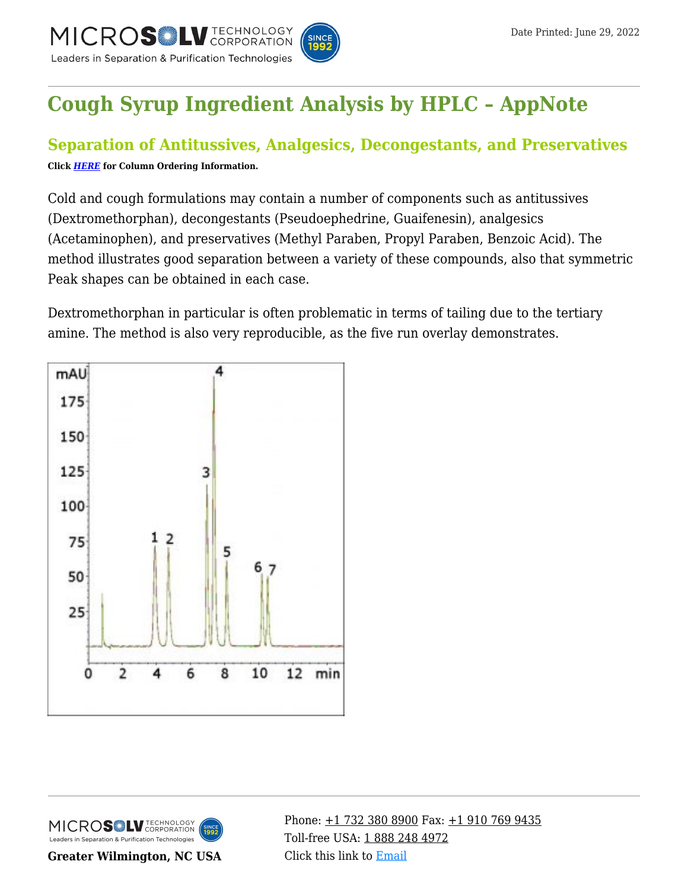

# **[Cough Syrup Ingredient Analysis by HPLC – AppNote](https://kb.mtc-usa.com/article/aa-00592/46/)**

## **Separation of Antitussives, Analgesics, Decongestants, and Preservatives**

**Click** *[HERE](https://www.mtc-usa.com/Category/ID/241)* **for Column Ordering Information.**

Cold and cough formulations may contain a number of components such as antitussives (Dextromethorphan), decongestants (Pseudoephedrine, Guaifenesin), analgesics (Acetaminophen), and preservatives (Methyl Paraben, Propyl Paraben, Benzoic Acid). The method illustrates good separation between a variety of these compounds, also that symmetric Peak shapes can be obtained in each case.

Dextromethorphan in particular is often problematic in terms of tailing due to the tertiary amine. The method is also very reproducible, as the five run overlay demonstrates.





**Greater Wilmington, NC USA**

Phone:  $\pm$ 1 732 380 8900 Fax:  $\pm$ 1 910 769 9435 Toll-free USA: [1 888 248 4972](#page--1-0) Click this link to [Email](https://www.mtc-usa.com/contact)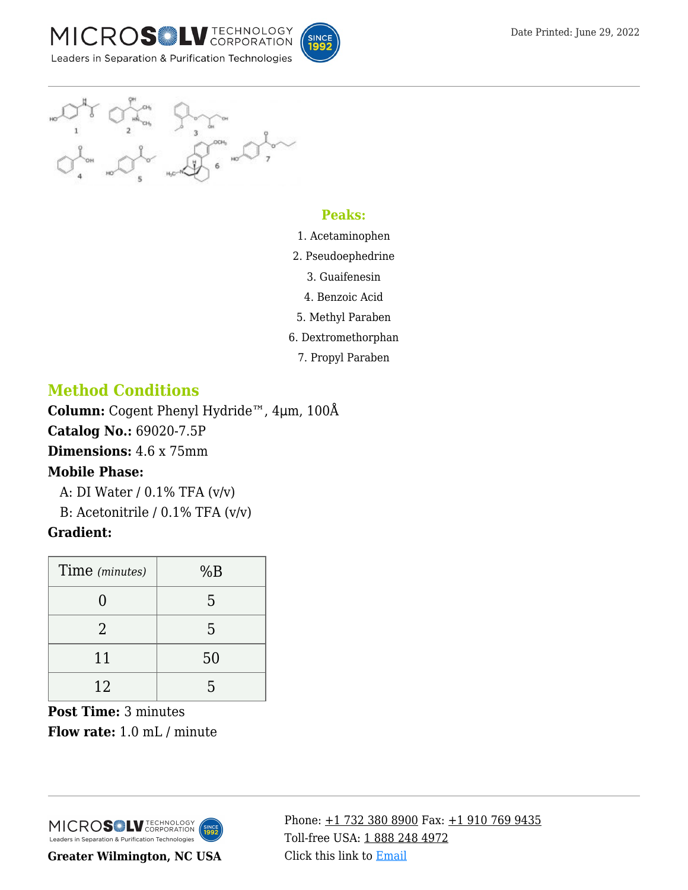





#### **Peaks:**

- 1. Acetaminophen
- 2. Pseudoephedrine
	- 3. Guaifenesin
	- 4. Benzoic Acid
- 5. Methyl Paraben
- 6. Dextromethorphan
	- 7. Propyl Paraben

## **Method Conditions**

**Column:** Cogent Phenyl Hydride™, 4μm, 100Å **Catalog No.:** 69020-7.5P **Dimensions:** 4.6 x 75mm **Mobile Phase:**

A: DI Water  $/$  0.1% TFA  $(v/v)$ 

B: Acetonitrile /  $0.1\%$  TFA  $(v/v)$ 

### **Gradient:**

| Time (minutes) | %B |
|----------------|----|
|                | 5  |
| 2              | 5  |
| 11             | 50 |
| 12             | 5  |

**Post Time:** 3 minutes **Flow rate:** 1.0 mL / minute



**Greater Wilmington, NC USA**

Phone:  $\pm$ 1 732 380 8900 Fax:  $\pm$ 1 910 769 9435 Toll-free USA: [1 888 248 4972](#page--1-0) Click this link to [Email](https://www.mtc-usa.com/contact)